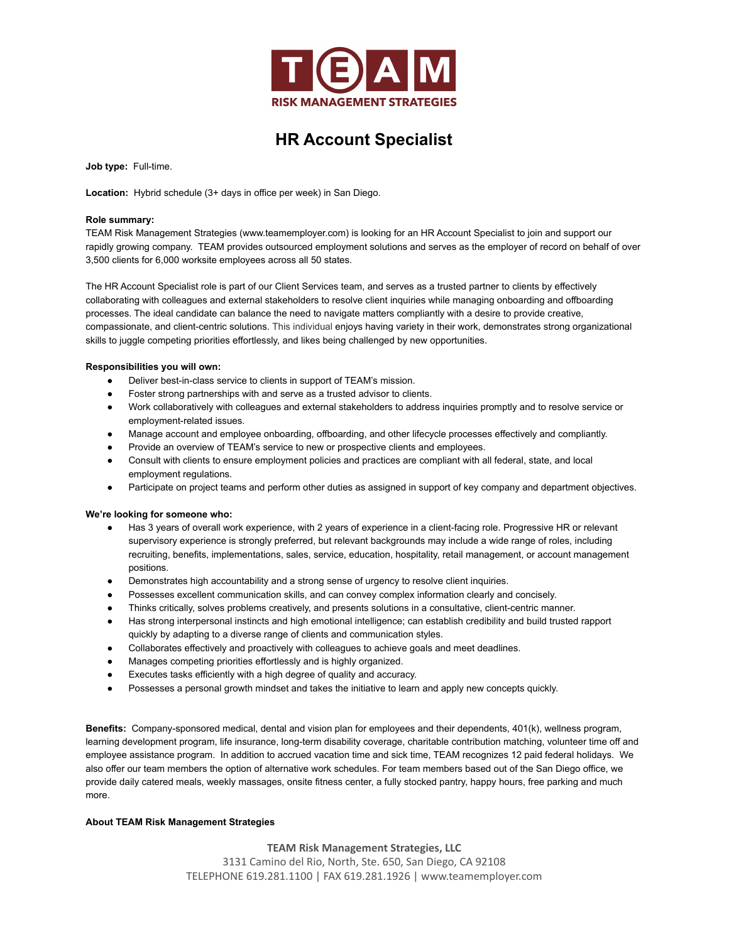

# **HR Account Specialist**

**Job type:** Full-time.

**Location:** Hybrid schedule (3+ days in office per week) in San Diego.

### **Role summary:**

TEAM Risk Management Strategies (www.teamemployer.com) is looking for an HR Account Specialist to join and support our rapidly growing company. TEAM provides outsourced employment solutions and serves as the employer of record on behalf of over 3,500 clients for 6,000 worksite employees across all 50 states.

The HR Account Specialist role is part of our Client Services team, and serves as a trusted partner to clients by effectively collaborating with colleagues and external stakeholders to resolve client inquiries while managing onboarding and offboarding processes. The ideal candidate can balance the need to navigate matters compliantly with a desire to provide creative, compassionate, and client-centric solutions. This individual enjoys having variety in their work, demonstrates strong organizational skills to juggle competing priorities effortlessly, and likes being challenged by new opportunities.

# **Responsibilities you will own:**

- Deliver best-in-class service to clients in support of TEAM's mission.
- Foster strong partnerships with and serve as a trusted advisor to clients.
- Work collaboratively with colleagues and external stakeholders to address inquiries promptly and to resolve service or employment-related issues.
- Manage account and employee onboarding, offboarding, and other lifecycle processes effectively and compliantly.
- Provide an overview of TEAM's service to new or prospective clients and employees.
- Consult with clients to ensure employment policies and practices are compliant with all federal, state, and local employment regulations.
- Participate on project teams and perform other duties as assigned in support of key company and department objectives.

#### **We're looking for someone who:**

- Has 3 years of overall work experience, with 2 years of experience in a client-facing role. Progressive HR or relevant supervisory experience is strongly preferred, but relevant backgrounds may include a wide range of roles, including recruiting, benefits, implementations, sales, service, education, hospitality, retail management, or account management positions.
- Demonstrates high accountability and a strong sense of urgency to resolve client inquiries.
- Possesses excellent communication skills, and can convey complex information clearly and concisely.
- Thinks critically, solves problems creatively, and presents solutions in a consultative, client-centric manner.
- Has strong interpersonal instincts and high emotional intelligence; can establish credibility and build trusted rapport quickly by adapting to a diverse range of clients and communication styles.
- Collaborates effectively and proactively with colleagues to achieve goals and meet deadlines.
- Manages competing priorities effortlessly and is highly organized.
- Executes tasks efficiently with a high degree of quality and accuracy.
- Possesses a personal growth mindset and takes the initiative to learn and apply new concepts quickly.

**Benefits:** Company-sponsored medical, dental and vision plan for employees and their dependents, 401(k), wellness program, learning development program, life insurance, long-term disability coverage, charitable contribution matching, volunteer time off and employee assistance program. In addition to accrued vacation time and sick time, TEAM recognizes 12 paid federal holidays. We also offer our team members the option of alternative work schedules. For team members based out of the San Diego office, we provide daily catered meals, weekly massages, onsite fitness center, a fully stocked pantry, happy hours, free parking and much more.

# **About TEAM Risk Management Strategies**

**TEAM Risk Management Strategies, LLC**

3131 Camino del Rio, North, Ste. 650, San Diego, CA 92108 TELEPHONE 619.281.1100 | FAX 619.281.1926 | www.teamemployer.com